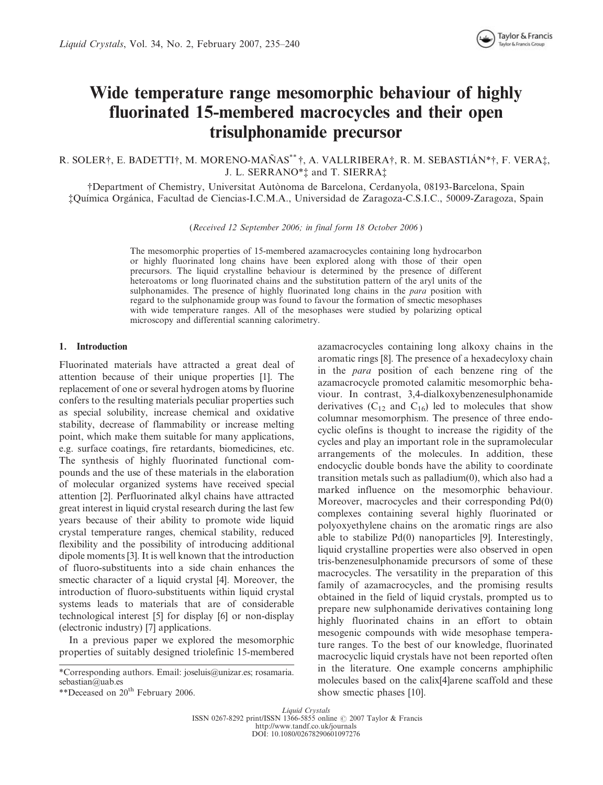# Wide temperature range mesomorphic behaviour of highly fluorinated 15-membered macrocycles and their open trisulphonamide precursor

R. SOLER $\dagger$ , E. BADETTI $\dagger$ , M. MORENO-MAÑAS<sup>\*\*</sup> $\dagger$ , A. VALLRIBERA $\dagger$ , R. M. SEBASTIÁN\* $\dagger$ , F. VERA $\dagger$ , J. L. SERRANO\*<sup>†</sup> and T. SIERRA<sup>†</sup>

{Department of Chemistry, Universitat Auto`noma de Barcelona, Cerdanyola, 08193-Barcelona, Spain {Quı´mica Orga´nica, Facultad de Ciencias-I.C.M.A., Universidad de Zaragoza-C.S.I.C., 50009-Zaragoza, Spain

(Received 12 September 2006; in final form 18 October 2006 )

The mesomorphic properties of 15-membered azamacrocycles containing long hydrocarbon or highly fluorinated long chains have been explored along with those of their open precursors. The liquid crystalline behaviour is determined by the presence of different heteroatoms or long fluorinated chains and the substitution pattern of the aryl units of the sulphonamides. The presence of highly fluorinated long chains in the *para* position with regard to the sulphonamide group was found to favour the formation of smectic mesophases with wide temperature ranges. All of the mesophases were studied by polarizing optical microscopy and differential scanning calorimetry.

# 1. Introduction

Fluorinated materials have attracted a great deal of attention because of their unique properties [1]. The replacement of one or several hydrogen atoms by fluorine confers to the resulting materials peculiar properties such as special solubility, increase chemical and oxidative stability, decrease of flammability or increase melting point, which make them suitable for many applications, e.g. surface coatings, fire retardants, biomedicines, etc. The synthesis of highly fluorinated functional compounds and the use of these materials in the elaboration of molecular organized systems have received special attention [2]. Perfluorinated alkyl chains have attracted great interest in liquid crystal research during the last few years because of their ability to promote wide liquid crystal temperature ranges, chemical stability, reduced flexibility and the possibility of introducing additional dipole moments [3]. It is well known that the introduction of fluoro-substituents into a side chain enhances the smectic character of a liquid crystal [4]. Moreover, the introduction of fluoro-substituents within liquid crystal systems leads to materials that are of considerable technological interest [5] for display [6] or non-display (electronic industry) [7] applications.

In a previous paper we explored the mesomorphic properties of suitably designed triolefinic 15-membered azamacrocycles containing long alkoxy chains in the aromatic rings [8]. The presence of a hexadecyloxy chain in the para position of each benzene ring of the azamacrocycle promoted calamitic mesomorphic behaviour. In contrast, 3,4-dialkoxybenzenesulphonamide derivatives  $(C_{12}$  and  $C_{16}$ ) led to molecules that show columnar mesomorphism. The presence of three endocyclic olefins is thought to increase the rigidity of the cycles and play an important role in the supramolecular arrangements of the molecules. In addition, these endocyclic double bonds have the ability to coordinate transition metals such as palladium(0), which also had a marked influence on the mesomorphic behaviour. Moreover, macrocycles and their corresponding Pd(0) complexes containing several highly fluorinated or polyoxyethylene chains on the aromatic rings are also able to stabilize Pd(0) nanoparticles [9]. Interestingly, liquid crystalline properties were also observed in open tris-benzenesulphonamide precursors of some of these macrocycles. The versatility in the preparation of this family of azamacrocycles, and the promising results obtained in the field of liquid crystals, prompted us to prepare new sulphonamide derivatives containing long highly fluorinated chains in an effort to obtain mesogenic compounds with wide mesophase temperature ranges. To the best of our knowledge, fluorinated macrocyclic liquid crystals have not been reported often in the literature. One example concerns amphiphilic molecules based on the calix[4]arene scaffold and these show smectic phases [10].

Liquid Crystals ISSN 0267-8292 print/ISSN 1366-5855 online © 2007 Taylor & Francis http://www.tandf.co.uk/journals DOI: 10.1080/02678290601097276

<sup>\*</sup>Corresponding authors. Email: joseluis@unizar.es; rosamaria. sebastian@uab.es

<sup>\*\*</sup>Deceased on 20<sup>th</sup> February 2006.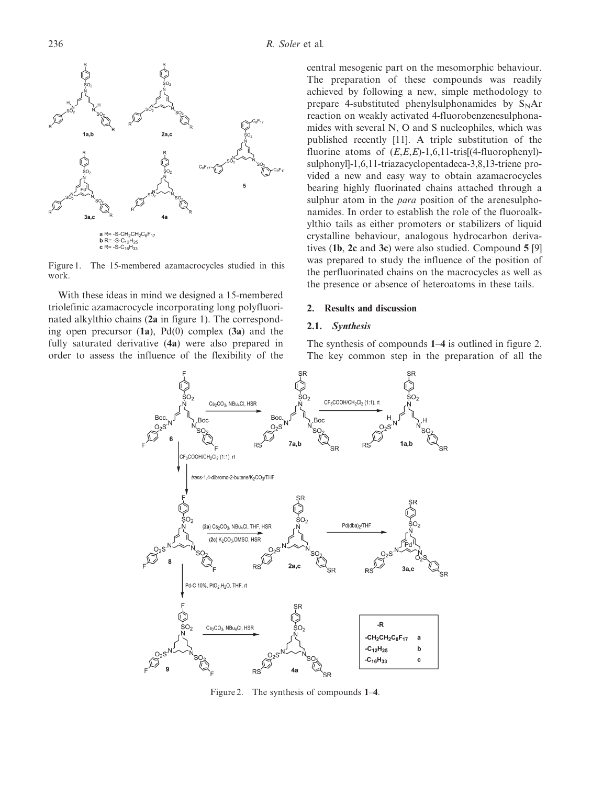

Figure 1. The 15-membered azamacrocycles studied in this work.

With these ideas in mind we designed a 15-membered triolefinic azamacrocycle incorporating long polyfluorinated alkylthio chains (2a in figure 1). The corresponding open precursor  $(1a)$ ,  $Pd(0)$  complex  $(3a)$  and the fully saturated derivative (4a) were also prepared in order to assess the influence of the flexibility of the

central mesogenic part on the mesomorphic behaviour. The preparation of these compounds was readily achieved by following a new, simple methodology to prepare 4-substituted phenylsulphonamides by  $S<sub>N</sub>Ar$ reaction on weakly activated 4-fluorobenzenesulphonamides with several N, O and S nucleophiles, which was published recently [11]. A triple substitution of the fluorine atoms of  $(E,E,E)$ -1,6,11-tris[(4-fluorophenyl)sulphonyl]-1,6,11-triazacyclopentadeca-3,8,13-triene provided a new and easy way to obtain azamacrocycles bearing highly fluorinated chains attached through a sulphur atom in the *para* position of the arenesulphonamides. In order to establish the role of the fluoroalkylthio tails as either promoters or stabilizers of liquid crystalline behaviour, analogous hydrocarbon derivatives (1b, 2c and 3c) were also studied. Compound 5 [9] was prepared to study the influence of the position of the perfluorinated chains on the macrocycles as well as the presence or absence of heteroatoms in these tails.

# 2. Results and discussion

# 2.1. Synthesis

The synthesis of compounds 1–4 is outlined in figure 2. The key common step in the preparation of all the



Figure 2. The synthesis of compounds 1–4.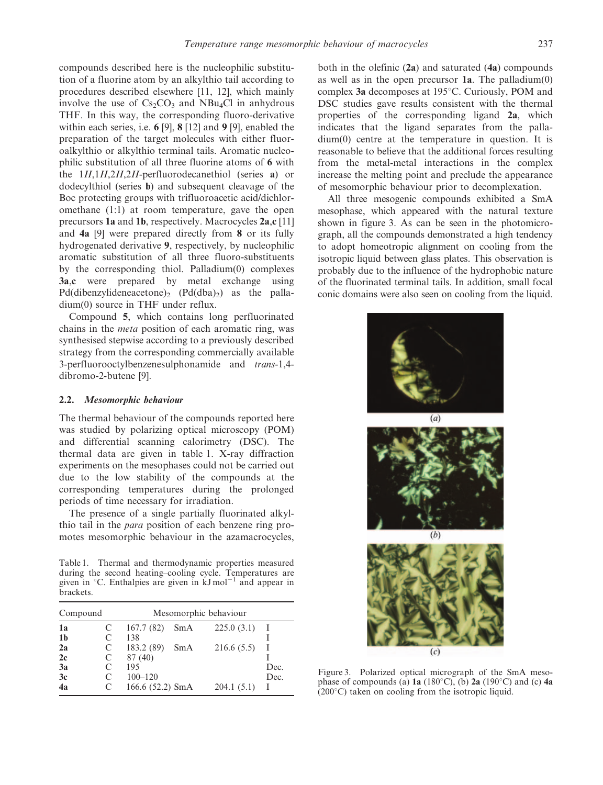compounds described here is the nucleophilic substitution of a fluorine atom by an alkylthio tail according to procedures described elsewhere [11, 12], which mainly involve the use of  $Cs_2CO_3$  and NBu<sub>4</sub>Cl in anhydrous THF. In this way, the corresponding fluoro-derivative within each series, i.e. 6 [9], 8 [12] and 9 [9], enabled the preparation of the target molecules with either fluoroalkylthio or alkylthio terminal tails. Aromatic nucleophilic substitution of all three fluorine atoms of 6 with the  $1H$ ,  $1H$ ,  $2H$ ,  $2H$ -perfluorodecanethiol (series a) or dodecylthiol (series b) and subsequent cleavage of the Boc protecting groups with trifluoroacetic acid/dichloromethane (1:1) at room temperature, gave the open precursors 1a and 1b, respectively. Macrocycles 2a,c [11] and 4a [9] were prepared directly from 8 or its fully hydrogenated derivative 9, respectively, by nucleophilic aromatic substitution of all three fluoro-substituents by the corresponding thiol. Palladium(0) complexes 3a,c were prepared by metal exchange using  $Pd(dibenzylideneacetone)$ ,  $(Pd(dba)$  as the palladium(0) source in THF under reflux.

Compound 5, which contains long perfluorinated chains in the meta position of each aromatic ring, was synthesised stepwise according to a previously described strategy from the corresponding commercially available 3-perfluorooctylbenzenesulphonamide and trans-1,4 dibromo-2-butene [9].

# 2.2. Mesomorphic behaviour

The thermal behaviour of the compounds reported here was studied by polarizing optical microscopy (POM) and differential scanning calorimetry (DSC). The thermal data are given in table 1. X-ray diffraction experiments on the mesophases could not be carried out due to the low stability of the compounds at the corresponding temperatures during the prolonged periods of time necessary for irradiation.

The presence of a single partially fluorinated alkylthio tail in the para position of each benzene ring promotes mesomorphic behaviour in the azamacrocycles,

Table 1. Thermal and thermodynamic properties measured during the second heating–cooling cycle. Temperatures are given in  $\degree$ C. Enthalpies are given in kJ mol<sup>-1</sup> and appear in brackets.

| Compound       |   | Mesomorphic behaviour |     |            |      |
|----------------|---|-----------------------|-----|------------|------|
| 1a             | C | 167.7(82)             | SmA | 225.0(3.1) |      |
| 1 <sub>b</sub> | C | 138                   |     |            |      |
| 2a             | C | 183.2 (89)            | SmA | 216.6(5.5) |      |
| 2c             | C | 87 (40)               |     |            |      |
| 3a             | C | 195                   |     |            | Dec. |
| 3c             | C | $100 - 120$           |     |            | Dec. |
| 4a             |   | 166.6 (52.2) SmA      |     | 204.1(5.1) |      |

both in the olefinic  $(2a)$  and saturated  $(4a)$  compounds as well as in the open precursor  $1a$ . The palladium $(0)$ complex 3a decomposes at 195 $^{\circ}$ C. Curiously, POM and DSC studies gave results consistent with the thermal properties of the corresponding ligand 2a, which indicates that the ligand separates from the palladium(0) centre at the temperature in question. It is reasonable to believe that the additional forces resulting from the metal-metal interactions in the complex increase the melting point and preclude the appearance of mesomorphic behaviour prior to decomplexation.

All three mesogenic compounds exhibited a SmA mesophase, which appeared with the natural texture shown in figure 3. As can be seen in the photomicrograph, all the compounds demonstrated a high tendency to adopt homeotropic alignment on cooling from the isotropic liquid between glass plates. This observation is probably due to the influence of the hydrophobic nature of the fluorinated terminal tails. In addition, small focal conic domains were also seen on cooling from the liquid.



Figure 3. Polarized optical micrograph of the SmA mesophase of compounds (a) 1a (180 $^{\circ}$ C), (b) 2a (190 $^{\circ}$ C) and (c) 4a  $(200^{\circ}C)$  taken on cooling from the isotropic liquid.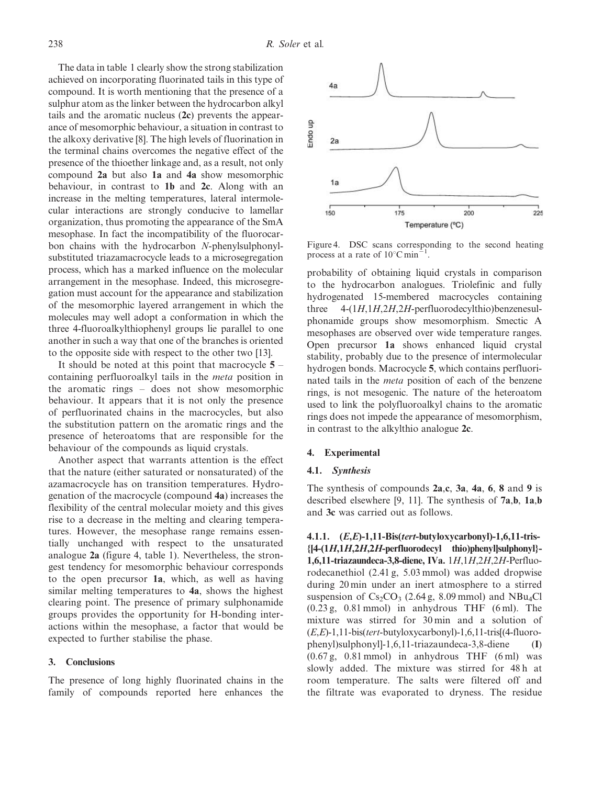The data in table 1 clearly show the strong stabilization achieved on incorporating fluorinated tails in this type of compound. It is worth mentioning that the presence of a sulphur atom as the linker between the hydrocarbon alkyl tails and the aromatic nucleus (2c) prevents the appearance of mesomorphic behaviour, a situation in contrast to the alkoxy derivative [8]. The high levels of fluorination in the terminal chains overcomes the negative effect of the presence of the thioether linkage and, as a result, not only compound 2a but also 1a and 4a show mesomorphic behaviour, in contrast to 1b and 2c. Along with an increase in the melting temperatures, lateral intermolecular interactions are strongly conducive to lamellar organization, thus promoting the appearance of the SmA mesophase. In fact the incompatibility of the fluorocarbon chains with the hydrocarbon N-phenylsulphonylsubstituted triazamacrocycle leads to a microsegregation process, which has a marked influence on the molecular arrangement in the mesophase. Indeed, this microsegregation must account for the appearance and stabilization of the mesomorphic layered arrangement in which the molecules may well adopt a conformation in which the three 4-fluoroalkylthiophenyl groups lie parallel to one another in such a way that one of the branches is oriented to the opposite side with respect to the other two [13].

It should be noted at this point that macrocycle  $5$ containing perfluoroalkyl tails in the meta position in the aromatic rings – does not show mesomorphic behaviour. It appears that it is not only the presence of perfluorinated chains in the macrocycles, but also the substitution pattern on the aromatic rings and the presence of heteroatoms that are responsible for the behaviour of the compounds as liquid crystals.

Another aspect that warrants attention is the effect that the nature (either saturated or nonsaturated) of the azamacrocycle has on transition temperatures. Hydrogenation of the macrocycle (compound 4a) increases the flexibility of the central molecular moiety and this gives rise to a decrease in the melting and clearing temperatures. However, the mesophase range remains essentially unchanged with respect to the unsaturated analogue 2a (figure 4, table 1). Nevertheless, the strongest tendency for mesomorphic behaviour corresponds to the open precursor 1a, which, as well as having similar melting temperatures to 4a, shows the highest clearing point. The presence of primary sulphonamide groups provides the opportunity for H-bonding interactions within the mesophase, a factor that would be expected to further stabilise the phase.

#### 3. Conclusions

The presence of long highly fluorinated chains in the family of compounds reported here enhances the



Figure 4. DSC scans corresponding to the second heating process at a rate of  $10^{\circ}$ C min<sup>-1</sup> .

probability of obtaining liquid crystals in comparison to the hydrocarbon analogues. Triolefinic and fully hydrogenated 15-membered macrocycles containing three 4-(1H,1H,2H,2H-perfluorodecylthio)benzenesulphonamide groups show mesomorphism. Smectic A mesophases are observed over wide temperature ranges. Open precursor 1a shows enhanced liquid crystal stability, probably due to the presence of intermolecular hydrogen bonds. Macrocycle 5, which contains perfluorinated tails in the meta position of each of the benzene rings, is not mesogenic. The nature of the heteroatom used to link the polyfluoroalkyl chains to the aromatic rings does not impede the appearance of mesomorphism, in contrast to the alkylthio analogue 2c.

#### 4. Experimental

#### 4.1. Synthesis

The synthesis of compounds 2a,c, 3a, 4a, 6, 8 and 9 is described elsewhere [9, 11]. The synthesis of 7a,b, 1a,b and 3c was carried out as follows.

4.1.1. (E,E)-1,11-Bis(tert-butyloxycarbonyl)-1,6,11-tris-  ${[4-(1H,1H,2H,2H-perfluorodecyl-thio)phenyl}$ sulphonyl}-1,6,11-triazaundeca-3,8-diene, IVa. 1H,1H,2H,2H-Perfluorodecanethiol (2.41 g, 5.03 mmol) was added dropwise during 20 min under an inert atmosphere to a stirred suspension of  $Cs_2CO_3$  (2.64 g, 8.09 mmol) and NBu<sub>4</sub>Cl  $(0.23 \text{ g}, 0.81 \text{ mmol})$  in anhydrous THF  $(6 \text{ ml})$ . The mixture was stirred for 30 min and a solution of  $(E,E)$ -1,11-bis(tert-butyloxycarbonyl)-1,6,11-tris[(4-fluorophenyl)sulphonyl]-1,6,11-triazaundeca-3,8-diene (I)  $(0.67 \text{ g}, 0.81 \text{ mmol})$  in anhydrous THF  $(6 \text{ ml})$  was slowly added. The mixture was stirred for 48 h at room temperature. The salts were filtered off and the filtrate was evaporated to dryness. The residue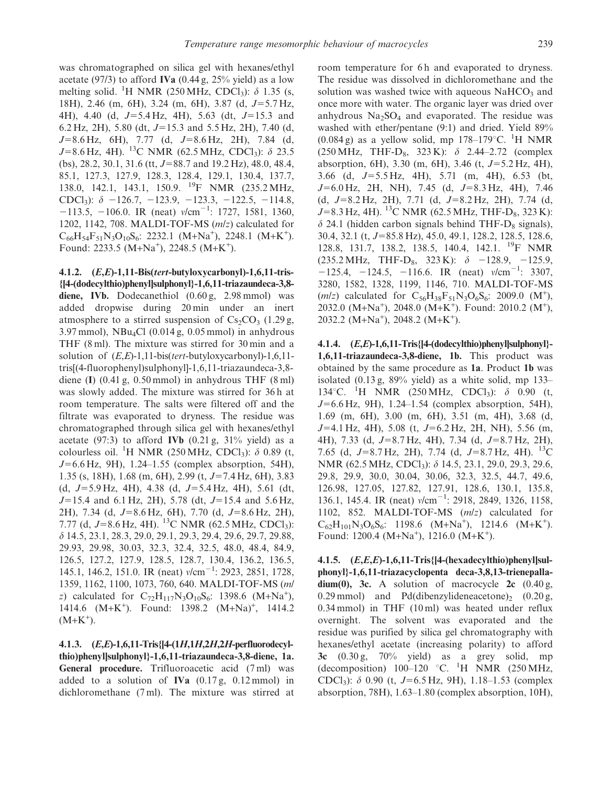was chromatographed on silica gel with hexanes/ethyl acetate (97/3) to afford **IVa** (0.44 g,  $25\%$  yield) as a low melting solid. <sup>1</sup>H NMR (250 MHz, CDCl<sub>3</sub>):  $\delta$  1.35 (s, 18H), 2.46 (m, 6H), 3.24 (m, 6H), 3.87 (d,  $J=5.7$  Hz, 4H), 4.40 (d,  $J=5.4$  Hz, 4H), 5.63 (dt,  $J=15.3$  and 6.2 Hz, 2H), 5.80 (dt,  $J=15.3$  and 5.5 Hz, 2H), 7.40 (d,  $J=8.6$  Hz, 6H), 7.77 (d,  $J=8.6$  Hz, 2H), 7.84 (d,  $J=8.6$  Hz, 4H). <sup>13</sup>C NMR (62.5 MHz, CDCl<sub>3</sub>):  $\delta$  23.5 (bs), 28.2, 30.1, 31.6 (tt,  $J=88.7$  and 19.2 Hz), 48.0, 48.4, 85.1, 127.3, 127.9, 128.3, 128.4, 129.1, 130.4, 137.7, 138.0, 142.1, 143.1, 150.9. 19F NMR (235.2 MHz, CDCl<sub>3</sub>):  $\delta$  -126.7, -123.9, -123.3, -122.5, -114.8,  $-113.5, -106.0$ . IR (neat)  $v/cm^{-1}$ : 1727, 1581, 1360, 1202, 1142, 708. MALDI-TOF-MS (m/z) calculated for  $C_{66}H_{54}F_{51}N_3O_{10}S_6$ : 2232.1 (M+Na<sup>+</sup>), 2248.1 (M+K<sup>+</sup>). Found: 2233.5 ( $M+Na^{+}$ ), 2248.5 ( $M+K^{+}$ ).

4.1.2. (E,E)-1,11-Bis(tert-butyloxycarbonyl)-1,6,11-tris- {[4-(dodecylthio)phenyl]sulphonyl}-1,6,11-triazaundeca-3,8 diene, IVb. Dodecanethiol  $(0.60 \text{ g}, 2.98 \text{ mmol})$  was added dropwise during 20 min under an inert atmosphere to a stirred suspension of  $Cs<sub>2</sub>CO<sub>3</sub>$  (1.29 g,  $3.97$  mmol), NBu<sub>4</sub>Cl  $(0.014 \text{ g}, 0.05 \text{ mmol})$  in anhydrous THF (8 ml). The mixture was stirred for 30 min and a solution of  $(E,E)$ -1,11-bis(tert-butyloxycarbonyl)-1,6,11tris[(4-fluorophenyl)sulphonyl]-1,6,11-triazaundeca-3,8 diene (I)  $(0.41 \text{ g}, 0.50 \text{ mmol})$  in anhydrous THF  $(8 \text{ ml})$ was slowly added. The mixture was stirred for 36 h at room temperature. The salts were filtered off and the filtrate was evaporated to dryness. The residue was chromatographed through silica gel with hexanes/ethyl acetate (97:3) to afford **IVb**  $(0.21 \text{ g}, 31\% \text{ yield})$  as a colourless oil. <sup>1</sup>H NMR (250 MHz, CDCl<sub>3</sub>):  $\delta$  0.89 (t,  $J=6.6$  Hz, 9H), 1.24–1.55 (complex absorption, 54H), 1.35 (s, 18H), 1.68 (m, 6H), 2.99 (t,  $J=7.4$  Hz, 6H), 3.83 (d,  $J=5.9$  Hz, 4H), 4.38 (d,  $J=5.4$  Hz, 4H), 5.61 (dt,  $J=15.4$  and 6.1 Hz, 2H), 5.78 (dt,  $J=15.4$  and 5.6 Hz, 2H), 7.34 (d,  $J=8.6$  Hz, 6H), 7.70 (d,  $J=8.6$  Hz, 2H), 7.77 (d,  $J=8.6$  Hz, 4H). <sup>13</sup>C NMR (62.5 MHz, CDCl<sub>3</sub>): d 14.5, 23.1, 28.3, 29.0, 29.1, 29.3, 29.4, 29.6, 29.7, 29.88, 29.93, 29.98, 30.03, 32.3, 32.4, 32.5, 48.0, 48.4, 84.9, 126.5, 127.2, 127.9, 128.5, 128.7, 130.4, 136.2, 136.5, 145.1, 146.2, 151.0. IR (neat)  $v/cm^{-1}$ : 2923, 2851, 1728, 1359, 1162, 1100, 1073, 760, 640. MALDI-TOF-MS (m/ z) calculated for  $C_{72}H_{117}N_3O_{10}S_6$ : 1398.6 (M+Na<sup>+</sup>), 1414.6 (M+K<sup>+</sup>). Found: 1398.2 (M+Na)<sup>+</sup>, 1414.2  $(M+K^{+}).$ 

4.1.3. (E,E)-1,6,11-Tris{[4-(1H,1H,2H,2H-perfluorodecylthio)phenyl]sulphonyl}-1,6,11-triazaundeca-3,8-diene, 1a. General procedure. Trifluoroacetic acid (7 ml) was added to a solution of IVa  $(0.17 \text{ g}, 0.12 \text{ mmol})$  in dichloromethane (7 ml). The mixture was stirred at room temperature for 6h and evaporated to dryness. The residue was dissolved in dichloromethane and the solution was washed twice with aqueous  $NaHCO<sub>3</sub>$  and once more with water. The organic layer was dried over anhydrous  $Na<sub>2</sub>SO<sub>4</sub>$  and evaporated. The residue was washed with ether/pentane (9:1) and dried. Yield 89% (0.084 g) as a yellow solid, mp  $178-179^{\circ}$ C. <sup>1</sup>H NMR (250 MHz, THF-D<sub>8</sub>, 323 K):  $\delta$  2.44–2.72 (complex absorption, 6H), 3.30 (m, 6H), 3.46 (t,  $J=5.2$  Hz, 4H), 3.66 (d,  $J=5.5$  Hz, 4H), 5.71 (m, 4H), 6.53 (bt,  $J=6.0$  Hz, 2H, NH), 7.45 (d,  $J=8.3$  Hz, 4H), 7.46  $(d, J=8.2 \text{ Hz}, 2\text{H}), 7.71 (d, J=8.2 \text{ Hz}, 2\text{H}), 7.74 (d,$  $J=8.3$  Hz, 4H). <sup>13</sup>C NMR (62.5 MHz, THF-D<sub>8</sub>, 323 K):  $\delta$  24.1 (hidden carbon signals behind THF-D<sub>8</sub> signals), 30.4, 32.1 (t, J=85.8 Hz), 45.0, 49.1, 128.2, 128.5, 128.6, 128.8, 131.7, 138.2, 138.5, 140.4, 142.1. 19F NMR  $(235.2 \text{ MHz}, \text{THF-D}_8, 323 \text{ K}): \delta -128.9, -125.9,$  $-125.4$ ,  $-124.5$ ,  $-116.6$ . IR (neat)  $v/cm^{-1}$ : 3307, 3280, 1582, 1328, 1199, 1146, 710. MALDI-TOF-MS  $(m/z)$  calculated for  $C_{56}H_{38}F_{51}N_3O_6S_6$ : 2009.0 (M<sup>+</sup>),  $2032.0$  (M+Na<sup>+</sup>), 2048.0 (M+K<sup>+</sup>). Found: 2010.2 (M<sup>+</sup>), 2032.2 (M+Na<sup>+</sup>), 2048.2 (M+K<sup>+</sup>).

4.1.4. (E,E)-1,6,11-Tris{[4-(dodecylthio)phenyl]sulphonyl}- 1,6,11-triazaundeca-3,8-diene, 1b. This product was obtained by the same procedure as 1a. Product 1b was isolated  $(0.13 \text{ g}, 89\% \text{ yield})$  as a white solid, mp 133– 134°C. <sup>1</sup>H NMR (250 MHz, CDCl<sub>3</sub>):  $\delta$  0.90 (t,  $J=6.6$  Hz, 9H), 1.24–1.54 (complex absorption, 54H), 1.69 (m, 6H), 3.00 (m, 6H), 3.51 (m, 4H), 3.68 (d,  $J=4.1$  Hz, 4H), 5.08 (t,  $J=6.2$  Hz, 2H, NH), 5.56 (m, 4H), 7.33 (d,  $J=8.7$  Hz, 4H), 7.34 (d,  $J=8.7$  Hz, 2H), 7.65 (d, J=8.7 Hz, 2H), 7.74 (d, J=8.7 Hz, 4H). <sup>13</sup>C NMR (62.5 MHz, CDCl<sub>3</sub>): δ 14.5, 23.1, 29.0, 29.3, 29.6, 29.8, 29.9, 30.0, 30.04, 30.06, 32.3, 32.5, 44.7, 49.6, 126.98, 127.05, 127.82, 127.91, 128.6, 130.1, 135.8, 136.1, 145.4. IR (neat)  $v/cm^{-1}$ : 2918, 2849, 1326, 1158, 1102, 852. MALDI-TOF-MS (m/z) calculated for  $C_{62}H_{101}N_3O_6S_6$ : 1198.6 (M+Na<sup>+</sup>), 1214.6 (M+K<sup>+</sup>). Found: 1200.4 ( $M+Na^{+}$ ), 1216.0 ( $M+K^{+}$ ).

4.1.5. (E,E,E)-1,6,11-Tris{[4-(hexadecylthio)phenyl]sulphonyl}-1,6,11-triazacyclopenta deca-3,8,13-trienepalla $dium(0)$ , 3c. A solution of macrocycle 2c  $(0.40 g,$ 0.29 mmol) and Pd(dibenzylideneacetone)<sub>2</sub> (0.20 g, 0.34 mmol) in THF (10 ml) was heated under reflux overnight. The solvent was evaporated and the residue was purified by silica gel chromatography with hexanes/ethyl acetate (increasing polarity) to afford 3c  $(0.30 \text{ g}, 70\%$  yield) as a grey solid, mp (decomposition)  $100-120$  °C. <sup>1</sup>H NMR (250 MHz, CDCl<sub>3</sub>):  $\delta$  0.90 (t, J=6.5 Hz, 9H), 1.18–1.53 (complex absorption, 78H), 1.63–1.80 (complex absorption, 10H),